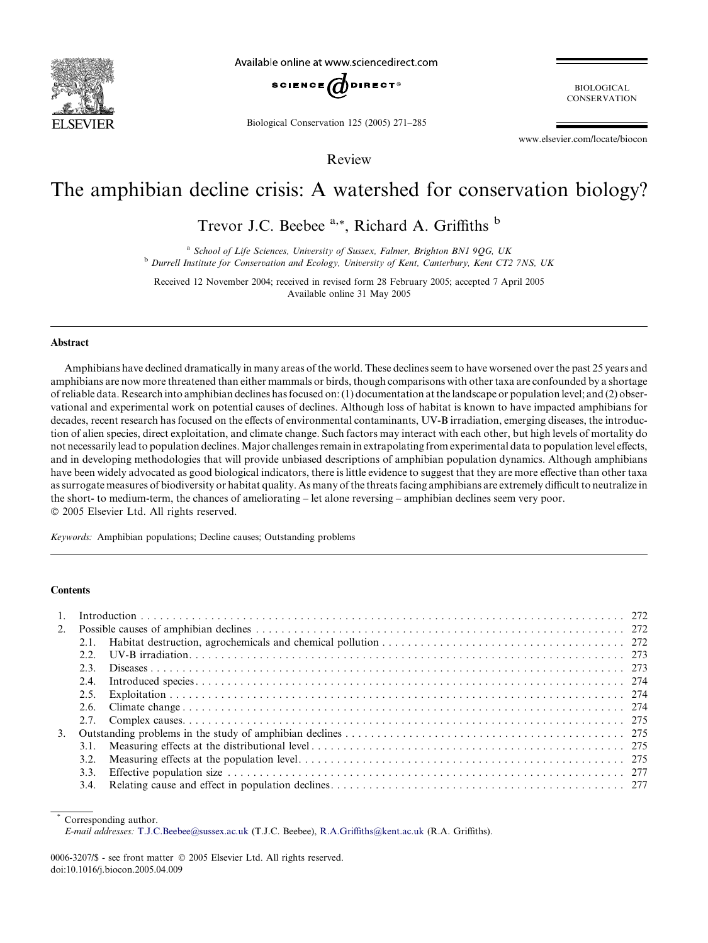

Available online at www.sciencedirect.com



Biological Conservation 125 (2005) 271–285

BIOLOGICAL **CONSERVATION** 

www.elsevier.com/locate/biocon

Review

# The amphibian decline crisis: A watershed for conservation biology?

Trevor J.C. Beebee <sup>a,\*</sup>, Richard A. Griffiths <sup>b</sup>

<sup>a</sup> School of Life Sciences, University of Sussex, Falmer, Brighton BN1 9QG, UK <sup>b</sup> Durrell Institute for Conservation and Ecology, University of Kent, Canterbury, Kent CT2 7NS, UK

Received 12 November 2004; received in revised form 28 February 2005; accepted 7 April 2005 Available online 31 May 2005

#### Abstract

Amphibians have declined dramatically in many areas of the world. These declines seem to have worsened over the past 25 years and amphibians are now more threatened than either mammals or birds, though comparisons with other taxa are confounded by a shortage of reliable data. Research into amphibian declines has focused on: (1) documentation at the landscape or population level; and (2) observational and experimental work on potential causes of declines. Although loss of habitat is known to have impacted amphibians for decades, recent research has focused on the effects of environmental contaminants, UV-B irradiation, emerging diseases, the introduction of alien species, direct exploitation, and climate change. Such factors may interact with each other, but high levels of mortality do not necessarily lead to population declines.Major challenges remain in extrapolating from experimental data to population level effects, and in developing methodologies that will provide unbiased descriptions of amphibian population dynamics. Although amphibians have been widely advocated as good biological indicators, there is little evidence to suggest that they are more effective than other taxa as surrogate measures of biodiversity or habitat quality. As many of the threats facing amphibians are extremely difficult to neutralize in the short- to medium-term, the chances of ameliorating – let alone reversing – amphibian declines seem very poor. 2005 Elsevier Ltd. All rights reserved.

Keywords: Amphibian populations; Decline causes; Outstanding problems

#### **Contents**

Corresponding author. E-mail addresses: [T.J.C.Beebee@sussex.ac.uk](mailto:T.J.C.Beebee@sussex.ac.uk) (T.J.C. Beebee), [R.A.Griffiths@kent.ac.uk](mailto:R.A.Griffiths@kent.ac.uk) (R.A. Griffiths).

<sup>0006-3207/\$ -</sup> see front matter © 2005 Elsevier Ltd. All rights reserved. doi:10.1016/j.biocon.2005.04.009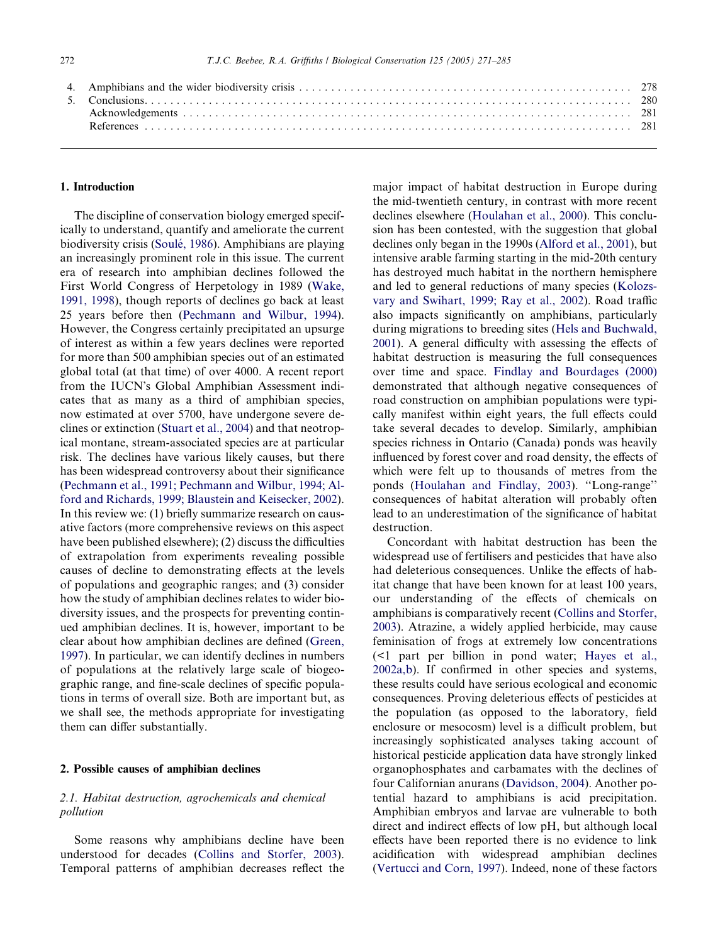## 1. Introduction

The discipline of conservation biology emerged specifically to understand, quantify and ameliorate the current biodiversity crisis (Soulé, 1986). Amphibians are playing an increasingly prominent role in this issue. The current era of research into amphibian declines followed the First World Congress of Herpetology in 1989 [\(Wake,](#page-14-0) [1991, 1998](#page-14-0)), though reports of declines go back at least 25 years before then ([Pechmann and Wilbur, 1994\)](#page-13-0). However, the Congress certainly precipitated an upsurge of interest as within a few years declines were reported for more than 500 amphibian species out of an estimated global total (at that time) of over 4000. A recent report from the IUCN's Global Amphibian Assessment indicates that as many as a third of amphibian species, now estimated at over 5700, have undergone severe declines or extinction ([Stuart et al., 2004\)](#page-14-0) and that neotropical montane, stream-associated species are at particular risk. The declines have various likely causes, but there has been widespread controversy about their significance ([Pechmann et al., 1991; Pechmann and Wilbur, 1994; Al](#page-13-0)[ford and Richards, 1999; Blaustein and Keisecker, 2002\)](#page-13-0). In this review we: (1) briefly summarize research on causative factors (more comprehensive reviews on this aspect have been published elsewhere); (2) discuss the difficulties of extrapolation from experiments revealing possible causes of decline to demonstrating effects at the levels of populations and geographic ranges; and (3) consider how the study of amphibian declines relates to wider biodiversity issues, and the prospects for preventing continued amphibian declines. It is, however, important to be clear about how amphibian declines are defined ([Green,](#page-12-0) [1997\)](#page-12-0). In particular, we can identify declines in numbers of populations at the relatively large scale of biogeographic range, and fine-scale declines of specific populations in terms of overall size. Both are important but, as we shall see, the methods appropriate for investigating them can differ substantially.

## 2. Possible causes of amphibian declines

# 2.1. Habitat destruction, agrochemicals and chemical pollution

Some reasons why amphibians decline have been understood for decades ([Collins and Storfer, 2003\)](#page-11-0). Temporal patterns of amphibian decreases reflect the major impact of habitat destruction in Europe during the mid-twentieth century, in contrast with more recent declines elsewhere [\(Houlahan et al., 2000](#page-12-0)). This conclusion has been contested, with the suggestion that global declines only began in the 1990s ([Alford et al., 2001](#page-11-0)), but intensive arable farming starting in the mid-20th century has destroyed much habitat in the northern hemisphere and led to general reductions of many species [\(Kolozs](#page-12-0)[vary and Swihart, 1999; Ray et al., 2002\)](#page-12-0). Road traffic also impacts significantly on amphibians, particularly during migrations to breeding sites [\(Hels and Buchwald,](#page-12-0) [2001\)](#page-12-0). A general difficulty with assessing the effects of habitat destruction is measuring the full consequences over time and space. [Findlay and Bourdages \(2000\)](#page-11-0) demonstrated that although negative consequences of road construction on amphibian populations were typically manifest within eight years, the full effects could take several decades to develop. Similarly, amphibian species richness in Ontario (Canada) ponds was heavily influenced by forest cover and road density, the effects of which were felt up to thousands of metres from the ponds ([Houlahan and Findlay, 2003](#page-12-0)). ''Long-range'' consequences of habitat alteration will probably often lead to an underestimation of the significance of habitat destruction.

Concordant with habitat destruction has been the widespread use of fertilisers and pesticides that have also had deleterious consequences. Unlike the effects of habitat change that have been known for at least 100 years, our understanding of the effects of chemicals on amphibians is comparatively recent [\(Collins and Storfer,](#page-11-0) [2003\)](#page-11-0). Atrazine, a widely applied herbicide, may cause feminisation of frogs at extremely low concentrations (<1 part per billion in pond water; [Hayes et al.,](#page-12-0) [2002a,b\)](#page-12-0). If confirmed in other species and systems, these results could have serious ecological and economic consequences. Proving deleterious effects of pesticides at the population (as opposed to the laboratory, field enclosure or mesocosm) level is a difficult problem, but increasingly sophisticated analyses taking account of historical pesticide application data have strongly linked organophosphates and carbamates with the declines of four Californian anurans ([Davidson, 2004\)](#page-11-0). Another potential hazard to amphibians is acid precipitation. Amphibian embryos and larvae are vulnerable to both direct and indirect effects of low pH, but although local effects have been reported there is no evidence to link acidification with widespread amphibian declines ([Vertucci and Corn, 1997](#page-14-0)). Indeed, none of these factors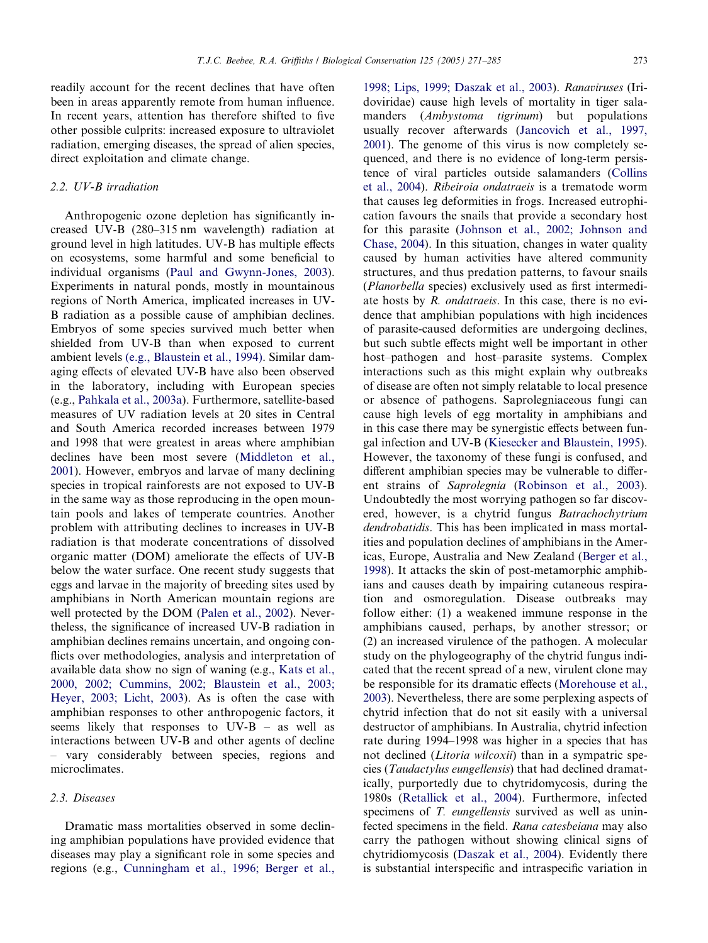readily account for the recent declines that have often been in areas apparently remote from human influence. In recent years, attention has therefore shifted to five other possible culprits: increased exposure to ultraviolet radiation, emerging diseases, the spread of alien species, direct exploitation and climate change.

# 2.2. UV-B irradiation

Anthropogenic ozone depletion has significantly increased UV-B (280–315 nm wavelength) radiation at ground level in high latitudes. UV-B has multiple effects on ecosystems, some harmful and some beneficial to individual organisms [\(Paul and Gwynn-Jones, 2003\)](#page-13-0). Experiments in natural ponds, mostly in mountainous regions of North America, implicated increases in UV-B radiation as a possible cause of amphibian declines. Embryos of some species survived much better when shielded from UV-B than when exposed to current ambient levels [\(e.g., Blaustein et al., 1994\).](#page-11-0) Similar damaging effects of elevated UV-B have also been observed in the laboratory, including with European species (e.g., [Pahkala et al., 2003a](#page-13-0)). Furthermore, satellite-based measures of UV radiation levels at 20 sites in Central and South America recorded increases between 1979 and 1998 that were greatest in areas where amphibian declines have been most severe [\(Middleton et al.,](#page-13-0) [2001](#page-13-0)). However, embryos and larvae of many declining species in tropical rainforests are not exposed to UV-B in the same way as those reproducing in the open mountain pools and lakes of temperate countries. Another problem with attributing declines to increases in UV-B radiation is that moderate concentrations of dissolved organic matter (DOM) ameliorate the effects of UV-B below the water surface. One recent study suggests that eggs and larvae in the majority of breeding sites used by amphibians in North American mountain regions are well protected by the DOM ([Palen et al., 2002](#page-13-0)). Nevertheless, the significance of increased UV-B radiation in amphibian declines remains uncertain, and ongoing conflicts over methodologies, analysis and interpretation of available data show no sign of waning (e.g., [Kats et al.,](#page-12-0) [2000, 2002; Cummins, 2002; Blaustein et al., 2003;](#page-12-0) [Heyer, 2003; Licht, 2003\)](#page-12-0). As is often the case with amphibian responses to other anthropogenic factors, it seems likely that responses to UV-B – as well as interactions between UV-B and other agents of decline – vary considerably between species, regions and microclimates.

# 2.3. Diseases

Dramatic mass mortalities observed in some declining amphibian populations have provided evidence that diseases may play a significant role in some species and regions (e.g., [Cunningham et al., 1996; Berger et al.,](#page-11-0) [1998; Lips, 1999; Daszak et al., 2003\)](#page-11-0). Ranaviruses (Iridoviridae) cause high levels of mortality in tiger salamanders (*Ambystoma tigrinum*) but populations usually recover afterwards [\(Jancovich et al., 1997,](#page-12-0) [2001](#page-12-0)). The genome of this virus is now completely sequenced, and there is no evidence of long-term persistence of viral particles outside salamanders [\(Collins](#page-11-0) [et al., 2004](#page-11-0)). Ribeiroia ondatraeis is a trematode worm that causes leg deformities in frogs. Increased eutrophication favours the snails that provide a secondary host for this parasite ([Johnson et al., 2002; Johnson and](#page-12-0) [Chase, 2004](#page-12-0)). In this situation, changes in water quality caused by human activities have altered community structures, and thus predation patterns, to favour snails (Planorbella species) exclusively used as first intermediate hosts by R. ondatraeis. In this case, there is no evidence that amphibian populations with high incidences of parasite-caused deformities are undergoing declines, but such subtle effects might well be important in other host–pathogen and host–parasite systems. Complex interactions such as this might explain why outbreaks of disease are often not simply relatable to local presence or absence of pathogens. Saprolegniaceous fungi can cause high levels of egg mortality in amphibians and in this case there may be synergistic effects between fungal infection and UV-B ([Kiesecker and Blaustein, 1995\)](#page-12-0). However, the taxonomy of these fungi is confused, and different amphibian species may be vulnerable to different strains of Saprolegnia ([Robinson et al., 2003\)](#page-13-0). Undoubtedly the most worrying pathogen so far discovered, however, is a chytrid fungus Batrachochytrium dendrobatidis. This has been implicated in mass mortalities and population declines of amphibians in the Americas, Europe, Australia and New Zealand ([Berger et al.,](#page-11-0) [1998](#page-11-0)). It attacks the skin of post-metamorphic amphibians and causes death by impairing cutaneous respiration and osmoregulation. Disease outbreaks may follow either: (1) a weakened immune response in the amphibians caused, perhaps, by another stressor; or (2) an increased virulence of the pathogen. A molecular study on the phylogeography of the chytrid fungus indicated that the recent spread of a new, virulent clone may be responsible for its dramatic effects ([Morehouse et al.,](#page-13-0) [2003](#page-13-0)). Nevertheless, there are some perplexing aspects of chytrid infection that do not sit easily with a universal destructor of amphibians. In Australia, chytrid infection rate during 1994–1998 was higher in a species that has not declined (Litoria wilcoxii) than in a sympatric species (Taudactylus eungellensis) that had declined dramatically, purportedly due to chytridomycosis, during the 1980s ([Retallick et al., 2004\)](#page-13-0). Furthermore, infected specimens of T. eungellensis survived as well as uninfected specimens in the field. Rana catesbeiana may also carry the pathogen without showing clinical signs of chytridiomycosis ([Daszak et al., 2004\)](#page-11-0). Evidently there is substantial interspecific and intraspecific variation in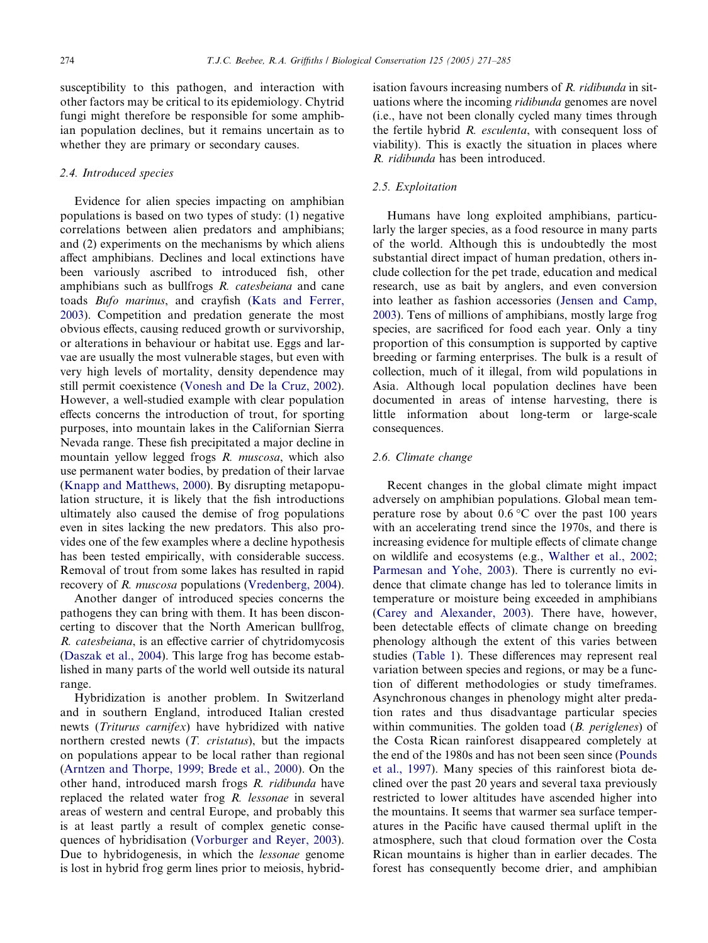susceptibility to this pathogen, and interaction with other factors may be critical to its epidemiology. Chytrid fungi might therefore be responsible for some amphibian population declines, but it remains uncertain as to whether they are primary or secondary causes.

# 2.4. Introduced species

Evidence for alien species impacting on amphibian populations is based on two types of study: (1) negative correlations between alien predators and amphibians; and (2) experiments on the mechanisms by which aliens affect amphibians. Declines and local extinctions have been variously ascribed to introduced fish, other amphibians such as bullfrogs R. catesbeiana and cane toads Bufo marinus, and crayfish ([Kats and Ferrer,](#page-12-0) [2003\)](#page-12-0). Competition and predation generate the most obvious effects, causing reduced growth or survivorship, or alterations in behaviour or habitat use. Eggs and larvae are usually the most vulnerable stages, but even with very high levels of mortality, density dependence may still permit coexistence [\(Vonesh and De la Cruz, 2002\)](#page-14-0). However, a well-studied example with clear population effects concerns the introduction of trout, for sporting purposes, into mountain lakes in the Californian Sierra Nevada range. These fish precipitated a major decline in mountain yellow legged frogs R. muscosa, which also use permanent water bodies, by predation of their larvae ([Knapp and Matthews, 2000\)](#page-12-0). By disrupting metapopulation structure, it is likely that the fish introductions ultimately also caused the demise of frog populations even in sites lacking the new predators. This also provides one of the few examples where a decline hypothesis has been tested empirically, with considerable success. Removal of trout from some lakes has resulted in rapid recovery of R. muscosa populations ([Vredenberg, 2004\)](#page-14-0).

Another danger of introduced species concerns the pathogens they can bring with them. It has been disconcerting to discover that the North American bullfrog, R. catesbeiana, is an effective carrier of chytridomycosis ([Daszak et al., 2004\)](#page-11-0). This large frog has become established in many parts of the world well outside its natural range.

Hybridization is another problem. In Switzerland and in southern England, introduced Italian crested newts (Triturus carnifex) have hybridized with native northern crested newts  $(T. \text{cristatus})$ , but the impacts on populations appear to be local rather than regional ([Arntzen and Thorpe, 1999; Brede et al., 2000\)](#page-11-0). On the other hand, introduced marsh frogs R. ridibunda have replaced the related water frog R. lessonae in several areas of western and central Europe, and probably this is at least partly a result of complex genetic consequences of hybridisation [\(Vorburger and Reyer, 2003\)](#page-14-0). Due to hybridogenesis, in which the *lessonae* genome is lost in hybrid frog germ lines prior to meiosis, hybridisation favours increasing numbers of R. *ridibunda* in situations where the incoming ridibunda genomes are novel (i.e., have not been clonally cycled many times through the fertile hybrid R. esculenta, with consequent loss of viability). This is exactly the situation in places where R. ridibunda has been introduced.

# 2.5. Exploitation

Humans have long exploited amphibians, particularly the larger species, as a food resource in many parts of the world. Although this is undoubtedly the most substantial direct impact of human predation, others include collection for the pet trade, education and medical research, use as bait by anglers, and even conversion into leather as fashion accessories [\(Jensen and Camp,](#page-12-0) [2003\)](#page-12-0). Tens of millions of amphibians, mostly large frog species, are sacrificed for food each year. Only a tiny proportion of this consumption is supported by captive breeding or farming enterprises. The bulk is a result of collection, much of it illegal, from wild populations in Asia. Although local population declines have been documented in areas of intense harvesting, there is little information about long-term or large-scale consequences.

#### 2.6. Climate change

Recent changes in the global climate might impact adversely on amphibian populations. Global mean temperature rose by about  $0.6\degree C$  over the past 100 years with an accelerating trend since the 1970s, and there is increasing evidence for multiple effects of climate change on wildlife and ecosystems (e.g., [Walther et al., 2002;](#page-14-0) [Parmesan and Yohe, 2003\)](#page-14-0). There is currently no evidence that climate change has led to tolerance limits in temperature or moisture being exceeded in amphibians ([Carey and Alexander, 2003\)](#page-11-0). There have, however, been detectable effects of climate change on breeding phenology although the extent of this varies between studies [\(Table 1\)](#page-4-0). These differences may represent real variation between species and regions, or may be a function of different methodologies or study timeframes. Asynchronous changes in phenology might alter predation rates and thus disadvantage particular species within communities. The golden toad (B. periglenes) of the Costa Rican rainforest disappeared completely at the end of the 1980s and has not been seen since ([Pounds](#page-13-0) [et al., 1997\)](#page-13-0). Many species of this rainforest biota declined over the past 20 years and several taxa previously restricted to lower altitudes have ascended higher into the mountains. It seems that warmer sea surface temperatures in the Pacific have caused thermal uplift in the atmosphere, such that cloud formation over the Costa Rican mountains is higher than in earlier decades. The forest has consequently become drier, and amphibian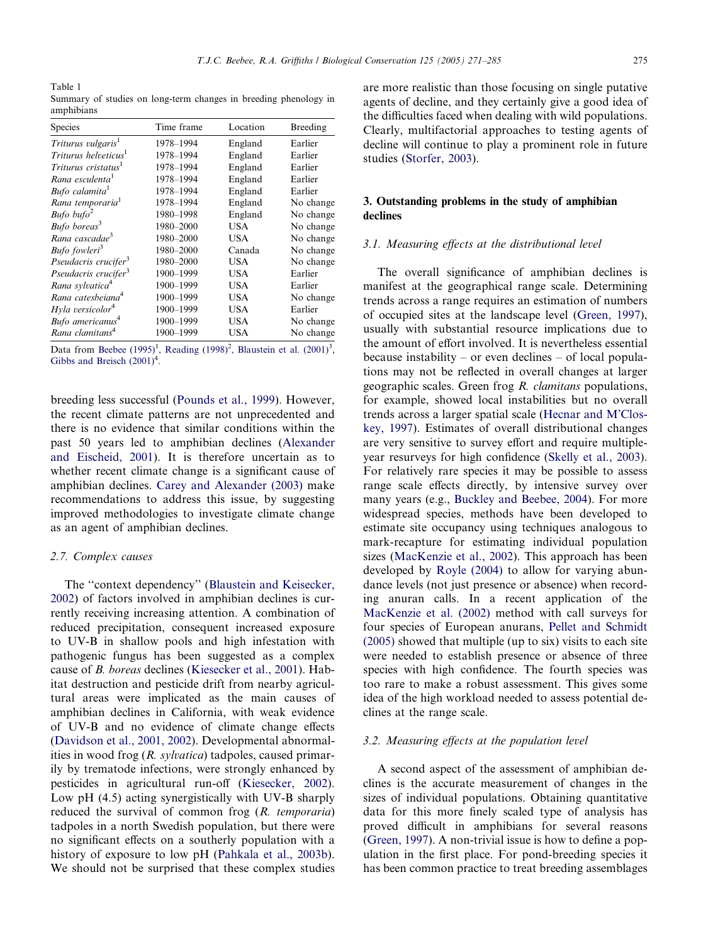<span id="page-4-0"></span>Table 1 Summary of studies on long-term changes in breeding phenology in amphibians

| Species                                 | Time frame | Location   | Breeding  |
|-----------------------------------------|------------|------------|-----------|
| Triturus vulgaris <sup>1</sup>          | 1978–1994  | England    | Earlier   |
| <i>Triturus helveticus</i> <sup>1</sup> | 1978-1994  | England    | Earlier   |
| Triturus cristatus <sup>1</sup>         | 1978-1994  | England    | Earlier   |
| Rana esculenta <sup>1</sup>             | 1978-1994  | England    | Earlier   |
| Bufo calamita <sup>1</sup>              | 1978-1994  | England    | Earlier   |
| Rana temporaria <sup>1</sup>            | 1978-1994  | England    | No change |
| Bufo bufo $^2$                          | 1980-1998  | England    | No change |
| Bufo boreas <sup>3</sup>                | 1980-2000  | USA        | No change |
| Rana cascadae <sup>3</sup>              | 1980-2000  | USA        | No change |
| <b>Bufo</b> fowleri <sup>3</sup>        | 1980-2000  | Canada     | No change |
| Pseudacris crucifer <sup>3</sup>        | 1980-2000  | USA        | No change |
| Pseudacris crucifer <sup>3</sup>        | 1900-1999  | <b>USA</b> | Earlier   |
| Rana sylvatica <sup>4</sup>             | 1900-1999  | USA        | Earlier   |
| Rana catesbeiana <sup>4</sup>           | 1900-1999  | USA        | No change |
| Hyla versicolor <sup>4</sup>            | 1900-1999  | USA        | Earlier   |
| Bufo americanus <sup>4</sup>            | 1900-1999  | USA        | No change |
| Rana clamitans <sup>4</sup>             | 1900-1999  | <b>USA</b> | No change |

Data from Beebee  $(1995)^1$ , Reading  $(1998)^2$ , Blaustein et al.  $(2001)^3$ , Gibbs and Breisch  $(2001)^4$ .

breeding less successful ([Pounds et al., 1999](#page-13-0)). However, the recent climate patterns are not unprecedented and there is no evidence that similar conditions within the past 50 years led to amphibian declines ([Alexander](#page-10-0) [and Eischeid, 2001](#page-10-0)). It is therefore uncertain as to whether recent climate change is a significant cause of amphibian declines. [Carey and Alexander \(2003\)](#page-11-0) make recommendations to address this issue, by suggesting improved methodologies to investigate climate change as an agent of amphibian declines.

## 2.7. Complex causes

The ''context dependency'' ([Blaustein and Keisecker,](#page-11-0) [2002](#page-11-0)) of factors involved in amphibian declines is currently receiving increasing attention. A combination of reduced precipitation, consequent increased exposure to UV-B in shallow pools and high infestation with pathogenic fungus has been suggested as a complex cause of B. boreas declines ([Kiesecker et al., 2001\)](#page-12-0). Habitat destruction and pesticide drift from nearby agricultural areas were implicated as the main causes of amphibian declines in California, with weak evidence of UV-B and no evidence of climate change effects ([Davidson et al., 2001, 2002](#page-11-0)). Developmental abnormalities in wood frog (R. sylvatica) tadpoles, caused primarily by trematode infections, were strongly enhanced by pesticides in agricultural run-off ([Kiesecker, 2002\)](#page-12-0). Low pH (4.5) acting synergistically with UV-B sharply reduced the survival of common frog (R. temporaria) tadpoles in a north Swedish population, but there were no significant effects on a southerly population with a history of exposure to low pH [\(Pahkala et al., 2003b\)](#page-13-0). We should not be surprised that these complex studies

are more realistic than those focusing on single putative agents of decline, and they certainly give a good idea of the difficulties faced when dealing with wild populations. Clearly, multifactorial approaches to testing agents of decline will continue to play a prominent role in future studies [\(Storfer, 2003](#page-13-0)).

# 3. Outstanding problems in the study of amphibian declines

# 3.1. Measuring effects at the distributional level

The overall significance of amphibian declines is manifest at the geographical range scale. Determining trends across a range requires an estimation of numbers of occupied sites at the landscape level [\(Green, 1997\)](#page-12-0), usually with substantial resource implications due to the amount of effort involved. It is nevertheless essential because instability – or even declines – of local populations may not be reflected in overall changes at larger geographic scales. Green frog R. clamitans populations, for example, showed local instabilities but no overall trends across a larger spatial scale ([Hecnar and M](#page-12-0)'Clos[key, 1997](#page-12-0)). Estimates of overall distributional changes are very sensitive to survey effort and require multipleyear resurveys for high confidence [\(Skelly et al., 2003\)](#page-13-0). For relatively rare species it may be possible to assess range scale effects directly, by intensive survey over many years (e.g., [Buckley and Beebee, 2004](#page-11-0)). For more widespread species, methods have been developed to estimate site occupancy using techniques analogous to mark-recapture for estimating individual population sizes [\(MacKenzie et al., 2002\)](#page-13-0). This approach has been developed by [Royle \(2004\)](#page-13-0) to allow for varying abundance levels (not just presence or absence) when recording anuran calls. In a recent application of the [MacKenzie et al. \(2002\)](#page-13-0) method with call surveys for four species of European anurans, [Pellet and Schmidt](#page-13-0) [\(2005\)](#page-13-0) showed that multiple (up to six) visits to each site were needed to establish presence or absence of three species with high confidence. The fourth species was too rare to make a robust assessment. This gives some idea of the high workload needed to assess potential declines at the range scale.

## 3.2. Measuring effects at the population level

A second aspect of the assessment of amphibian declines is the accurate measurement of changes in the sizes of individual populations. Obtaining quantitative data for this more finely scaled type of analysis has proved difficult in amphibians for several reasons ([Green, 1997](#page-12-0)). A non-trivial issue is how to define a population in the first place. For pond-breeding species it has been common practice to treat breeding assemblages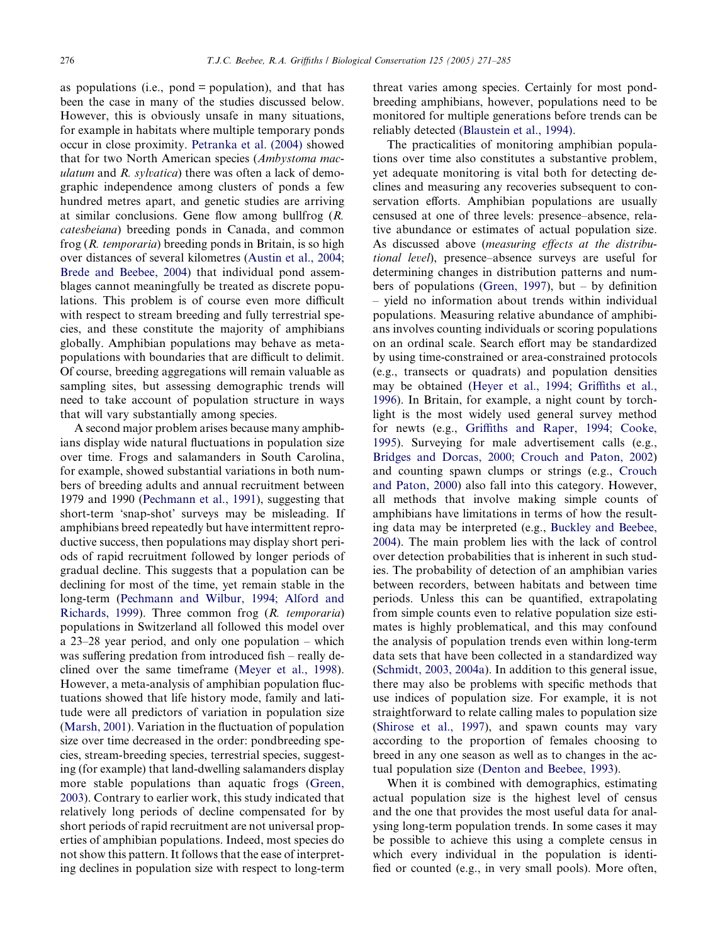as populations (i.e., pond  $=$  population), and that has been the case in many of the studies discussed below. However, this is obviously unsafe in many situations, for example in habitats where multiple temporary ponds occur in close proximity. [Petranka et al. \(2004\)](#page-13-0) showed that for two North American species (Ambystoma maculatum and R. sylvatica) there was often a lack of demographic independence among clusters of ponds a few hundred metres apart, and genetic studies are arriving at similar conclusions. Gene flow among bullfrog (R. catesbeiana) breeding ponds in Canada, and common frog (R. temporaria) breeding ponds in Britain, is so high over distances of several kilometres ([Austin et al., 2004;](#page-11-0) [Brede and Beebee, 2004](#page-11-0)) that individual pond assemblages cannot meaningfully be treated as discrete populations. This problem is of course even more difficult with respect to stream breeding and fully terrestrial species, and these constitute the majority of amphibians globally. Amphibian populations may behave as metapopulations with boundaries that are difficult to delimit. Of course, breeding aggregations will remain valuable as sampling sites, but assessing demographic trends will need to take account of population structure in ways that will vary substantially among species.

A second major problem arises because many amphibians display wide natural fluctuations in population size over time. Frogs and salamanders in South Carolina, for example, showed substantial variations in both numbers of breeding adults and annual recruitment between 1979 and 1990 [\(Pechmann et al., 1991\)](#page-13-0), suggesting that short-term 'snap-shot' surveys may be misleading. If amphibians breed repeatedly but have intermittent reproductive success, then populations may display short periods of rapid recruitment followed by longer periods of gradual decline. This suggests that a population can be declining for most of the time, yet remain stable in the long-term [\(Pechmann and Wilbur, 1994; Alford and](#page-13-0) [Richards, 1999\)](#page-13-0). Three common frog (R. temporaria) populations in Switzerland all followed this model over a 23–28 year period, and only one population – which was suffering predation from introduced fish – really declined over the same timeframe ([Meyer et al., 1998\)](#page-13-0). However, a meta-analysis of amphibian population fluctuations showed that life history mode, family and latitude were all predictors of variation in population size ([Marsh, 2001\)](#page-13-0). Variation in the fluctuation of population size over time decreased in the order: pondbreeding species, stream-breeding species, terrestrial species, suggesting (for example) that land-dwelling salamanders display more stable populations than aquatic frogs ([Green,](#page-12-0) [2003\)](#page-12-0). Contrary to earlier work, this study indicated that relatively long periods of decline compensated for by short periods of rapid recruitment are not universal properties of amphibian populations. Indeed, most species do not show this pattern. It follows that the ease of interpreting declines in population size with respect to long-term threat varies among species. Certainly for most pondbreeding amphibians, however, populations need to be monitored for multiple generations before trends can be reliably detected [\(Blaustein et al., 1994\).](#page-11-0)

The practicalities of monitoring amphibian populations over time also constitutes a substantive problem, yet adequate monitoring is vital both for detecting declines and measuring any recoveries subsequent to conservation efforts. Amphibian populations are usually censused at one of three levels: presence–absence, relative abundance or estimates of actual population size. As discussed above (measuring effects at the distributional level), presence–absence surveys are useful for determining changes in distribution patterns and num-bers of populations [\(Green, 1997\)](#page-12-0), but  $-$  by definition – yield no information about trends within individual populations. Measuring relative abundance of amphibians involves counting individuals or scoring populations on an ordinal scale. Search effort may be standardized by using time-constrained or area-constrained protocols (e.g., transects or quadrats) and population densities may be obtained [\(Heyer et al., 1994; Griffiths et al.,](#page-12-0) [1996\)](#page-12-0). In Britain, for example, a night count by torchlight is the most widely used general survey method for newts (e.g., [Griffiths and Raper, 1994; Cooke,](#page-12-0) [1995\)](#page-12-0). Surveying for male advertisement calls (e.g., [Bridges and Dorcas, 2000; Crouch and Paton, 2002](#page-11-0)) and counting spawn clumps or strings (e.g., [Crouch](#page-11-0) [and Paton, 2000\)](#page-11-0) also fall into this category. However, all methods that involve making simple counts of amphibians have limitations in terms of how the resulting data may be interpreted (e.g., [Buckley and Beebee,](#page-11-0) [2004\)](#page-11-0). The main problem lies with the lack of control over detection probabilities that is inherent in such studies. The probability of detection of an amphibian varies between recorders, between habitats and between time periods. Unless this can be quantified, extrapolating from simple counts even to relative population size estimates is highly problematical, and this may confound the analysis of population trends even within long-term data sets that have been collected in a standardized way ([Schmidt, 2003, 2004a\)](#page-13-0). In addition to this general issue, there may also be problems with specific methods that use indices of population size. For example, it is not straightforward to relate calling males to population size ([Shirose et al., 1997\)](#page-13-0), and spawn counts may vary according to the proportion of females choosing to breed in any one season as well as to changes in the actual population size ([Denton and Beebee, 1993](#page-11-0)).

When it is combined with demographics, estimating actual population size is the highest level of census and the one that provides the most useful data for analysing long-term population trends. In some cases it may be possible to achieve this using a complete census in which every individual in the population is identified or counted (e.g., in very small pools). More often,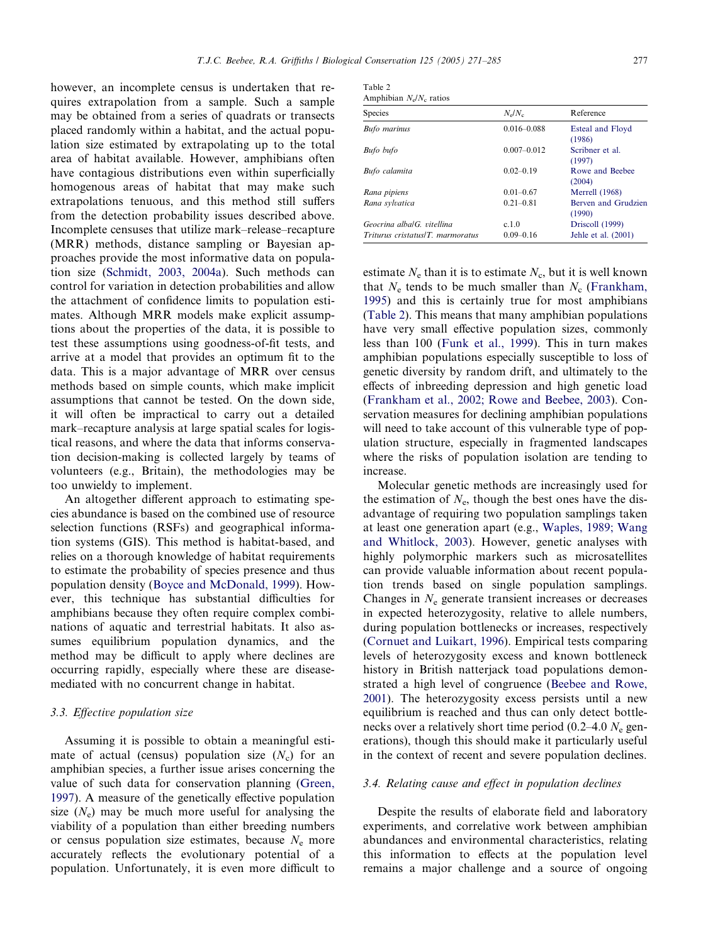however, an incomplete census is undertaken that requires extrapolation from a sample. Such a sample may be obtained from a series of quadrats or transects placed randomly within a habitat, and the actual population size estimated by extrapolating up to the total area of habitat available. However, amphibians often have contagious distributions even within superficially homogenous areas of habitat that may make such extrapolations tenuous, and this method still suffers from the detection probability issues described above. Incomplete censuses that utilize mark–release–recapture (MRR) methods, distance sampling or Bayesian approaches provide the most informative data on population size ([Schmidt, 2003, 2004a](#page-13-0)). Such methods can control for variation in detection probabilities and allow the attachment of confidence limits to population estimates. Although MRR models make explicit assumptions about the properties of the data, it is possible to test these assumptions using goodness-of-fit tests, and arrive at a model that provides an optimum fit to the data. This is a major advantage of MRR over census methods based on simple counts, which make implicit assumptions that cannot be tested. On the down side, it will often be impractical to carry out a detailed mark–recapture analysis at large spatial scales for logistical reasons, and where the data that informs conservation decision-making is collected largely by teams of volunteers (e.g., Britain), the methodologies may be too unwieldy to implement.

An altogether different approach to estimating species abundance is based on the combined use of resource selection functions (RSFs) and geographical information systems (GIS). This method is habitat-based, and relies on a thorough knowledge of habitat requirements to estimate the probability of species presence and thus population density ([Boyce and McDonald, 1999](#page-11-0)). However, this technique has substantial difficulties for amphibians because they often require complex combinations of aquatic and terrestrial habitats. It also assumes equilibrium population dynamics, and the method may be difficult to apply where declines are occurring rapidly, especially where these are diseasemediated with no concurrent change in habitat.

#### 3.3. Effective population size

Assuming it is possible to obtain a meaningful estimate of actual (census) population size  $(N_c)$  for an amphibian species, a further issue arises concerning the value of such data for conservation planning ([Green,](#page-12-0) [1997](#page-12-0)). A measure of the genetically effective population size  $(N_e)$  may be much more useful for analysing the viability of a population than either breeding numbers or census population size estimates, because  $N_e$  more accurately reflects the evolutionary potential of a population. Unfortunately, it is even more difficult to

| Table 2                    |  |
|----------------------------|--|
| Amphibian $N_e/N_c$ ratios |  |

| <b>Species</b>                   | $N_e/N_c$       | Reference                     |
|----------------------------------|-----------------|-------------------------------|
| Bufo marinus                     | $0.016 - 0.088$ | Esteal and Floyd<br>(1986)    |
| Bufo bufo                        | $0.007 - 0.012$ | Scribner et al.<br>(1997)     |
| Bufo calamita                    | $0.02 - 0.19$   | Rowe and Beebee<br>(2004)     |
| Rana pipiens                     | $0.01 - 0.67$   | <b>Merrell</b> (1968)         |
| Rana sylvatica                   | $0.21 - 0.81$   | Berven and Grudzien<br>(1990) |
| Geocrina alba/G. vitellina       | c.1.0           | Driscoll (1999)               |
| Triturus cristatus/T. marmoratus | $0.09 - 0.16$   | Jehle et al. $(2001)$         |

estimate  $N_e$  than it is to estimate  $N_c$ , but it is well known that  $N_e$  tends to be much smaller than  $N_c$  ([Frankham,](#page-12-0) [1995](#page-12-0)) and this is certainly true for most amphibians (Table 2). This means that many amphibian populations have very small effective population sizes, commonly less than 100 [\(Funk et al., 1999\)](#page-12-0). This in turn makes amphibian populations especially susceptible to loss of genetic diversity by random drift, and ultimately to the effects of inbreeding depression and high genetic load ([Frankham et al., 2002; Rowe and Beebee, 2003\)](#page-12-0). Conservation measures for declining amphibian populations will need to take account of this vulnerable type of population structure, especially in fragmented landscapes where the risks of population isolation are tending to increase.

Molecular genetic methods are increasingly used for the estimation of  $N_e$ , though the best ones have the disadvantage of requiring two population samplings taken at least one generation apart (e.g., [Waples, 1989; Wang](#page-14-0) [and Whitlock, 2003\)](#page-14-0). However, genetic analyses with highly polymorphic markers such as microsatellites can provide valuable information about recent population trends based on single population samplings. Changes in  $N_e$  generate transient increases or decreases in expected heterozygosity, relative to allele numbers, during population bottlenecks or increases, respectively ([Cornuet and Luikart, 1996\)](#page-11-0). Empirical tests comparing levels of heterozygosity excess and known bottleneck history in British natterjack toad populations demonstrated a high level of congruence [\(Beebee and Rowe,](#page-11-0) [2001](#page-11-0)). The heterozygosity excess persists until a new equilibrium is reached and thus can only detect bottlenecks over a relatively short time period  $(0.2-4.0 N_e)$  generations), though this should make it particularly useful in the context of recent and severe population declines.

## 3.4. Relating cause and effect in population declines

Despite the results of elaborate field and laboratory experiments, and correlative work between amphibian abundances and environmental characteristics, relating this information to effects at the population level remains a major challenge and a source of ongoing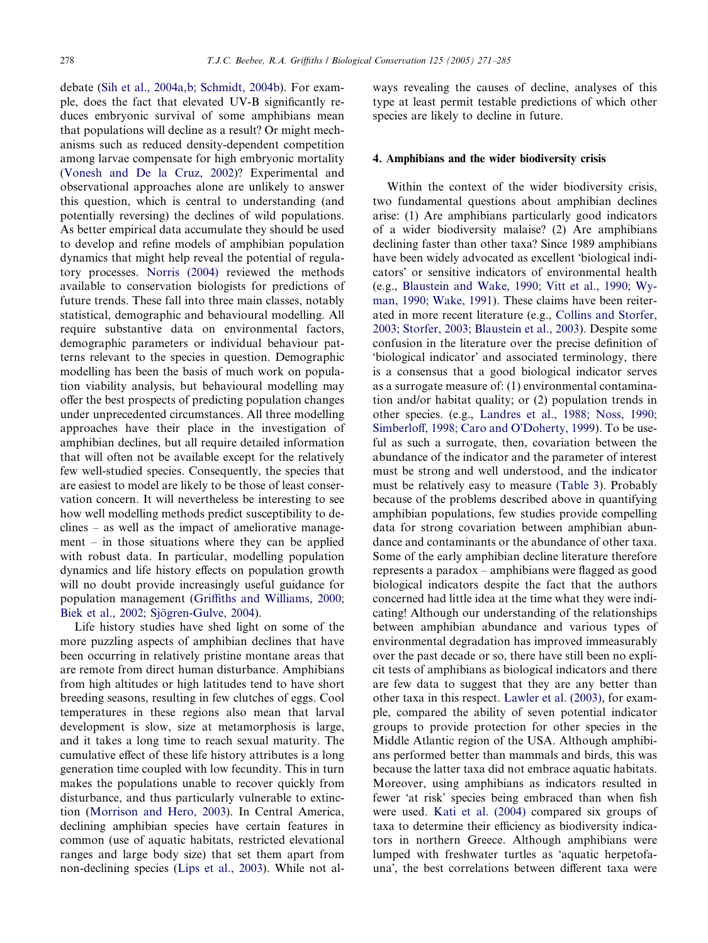debate [\(Sih et al., 2004a,b; Schmidt, 2004b](#page-13-0)). For example, does the fact that elevated UV-B significantly reduces embryonic survival of some amphibians mean that populations will decline as a result? Or might mechanisms such as reduced density-dependent competition among larvae compensate for high embryonic mortality ([Vonesh and De la Cruz, 2002\)](#page-14-0)? Experimental and observational approaches alone are unlikely to answer this question, which is central to understanding (and potentially reversing) the declines of wild populations. As better empirical data accumulate they should be used to develop and refine models of amphibian population dynamics that might help reveal the potential of regulatory processes. [Norris \(2004\)](#page-13-0) reviewed the methods available to conservation biologists for predictions of future trends. These fall into three main classes, notably statistical, demographic and behavioural modelling. All require substantive data on environmental factors, demographic parameters or individual behaviour patterns relevant to the species in question. Demographic modelling has been the basis of much work on population viability analysis, but behavioural modelling may offer the best prospects of predicting population changes under unprecedented circumstances. All three modelling approaches have their place in the investigation of amphibian declines, but all require detailed information that will often not be available except for the relatively few well-studied species. Consequently, the species that are easiest to model are likely to be those of least conservation concern. It will nevertheless be interesting to see how well modelling methods predict susceptibility to declines – as well as the impact of ameliorative management – in those situations where they can be applied with robust data. In particular, modelling population dynamics and life history effects on population growth will no doubt provide increasingly useful guidance for population management [\(Griffiths and Williams, 2000;](#page-12-0) Biek et al., 2002; Sjögren-Gulve, 2004).

Life history studies have shed light on some of the more puzzling aspects of amphibian declines that have been occurring in relatively pristine montane areas that are remote from direct human disturbance. Amphibians from high altitudes or high latitudes tend to have short breeding seasons, resulting in few clutches of eggs. Cool temperatures in these regions also mean that larval development is slow, size at metamorphosis is large, and it takes a long time to reach sexual maturity. The cumulative effect of these life history attributes is a long generation time coupled with low fecundity. This in turn makes the populations unable to recover quickly from disturbance, and thus particularly vulnerable to extinction [\(Morrison and Hero, 2003](#page-13-0)). In Central America, declining amphibian species have certain features in common (use of aquatic habitats, restricted elevational ranges and large body size) that set them apart from non-declining species [\(Lips et al., 2003\)](#page-13-0). While not always revealing the causes of decline, analyses of this type at least permit testable predictions of which other species are likely to decline in future.

## 4. Amphibians and the wider biodiversity crisis

Within the context of the wider biodiversity crisis, two fundamental questions about amphibian declines arise: (1) Are amphibians particularly good indicators of a wider biodiversity malaise? (2) Are amphibians declining faster than other taxa? Since 1989 amphibians have been widely advocated as excellent 'biological indicators' or sensitive indicators of environmental health (e.g., [Blaustein and Wake, 1990; Vitt et al., 1990; Wy](#page-11-0)[man, 1990; Wake, 1991](#page-11-0)). These claims have been reiterated in more recent literature (e.g., [Collins and Storfer,](#page-11-0) [2003; Storfer, 2003; Blaustein et al., 2003](#page-11-0)). Despite some confusion in the literature over the precise definition of 'biological indicator' and associated terminology, there is a consensus that a good biological indicator serves as a surrogate measure of: (1) environmental contamination and/or habitat quality; or (2) population trends in other species. (e.g., [Landres et al., 1988; Noss, 1990;](#page-12-0) [Simberloff, 1998; Caro and O](#page-12-0)'Doherty, 1999). To be useful as such a surrogate, then, covariation between the abundance of the indicator and the parameter of interest must be strong and well understood, and the indicator must be relatively easy to measure [\(Table 3\)](#page-8-0). Probably because of the problems described above in quantifying amphibian populations, few studies provide compelling data for strong covariation between amphibian abundance and contaminants or the abundance of other taxa. Some of the early amphibian decline literature therefore represents a paradox – amphibians were flagged as good biological indicators despite the fact that the authors concerned had little idea at the time what they were indicating! Although our understanding of the relationships between amphibian abundance and various types of environmental degradation has improved immeasurably over the past decade or so, there have still been no explicit tests of amphibians as biological indicators and there are few data to suggest that they are any better than other taxa in this respect. [Lawler et al. \(2003\)](#page-12-0), for example, compared the ability of seven potential indicator groups to provide protection for other species in the Middle Atlantic region of the USA. Although amphibians performed better than mammals and birds, this was because the latter taxa did not embrace aquatic habitats. Moreover, using amphibians as indicators resulted in fewer 'at risk' species being embraced than when fish were used. [Kati et al. \(2004\)](#page-12-0) compared six groups of taxa to determine their efficiency as biodiversity indicators in northern Greece. Although amphibians were lumped with freshwater turtles as 'aquatic herpetofauna', the best correlations between different taxa were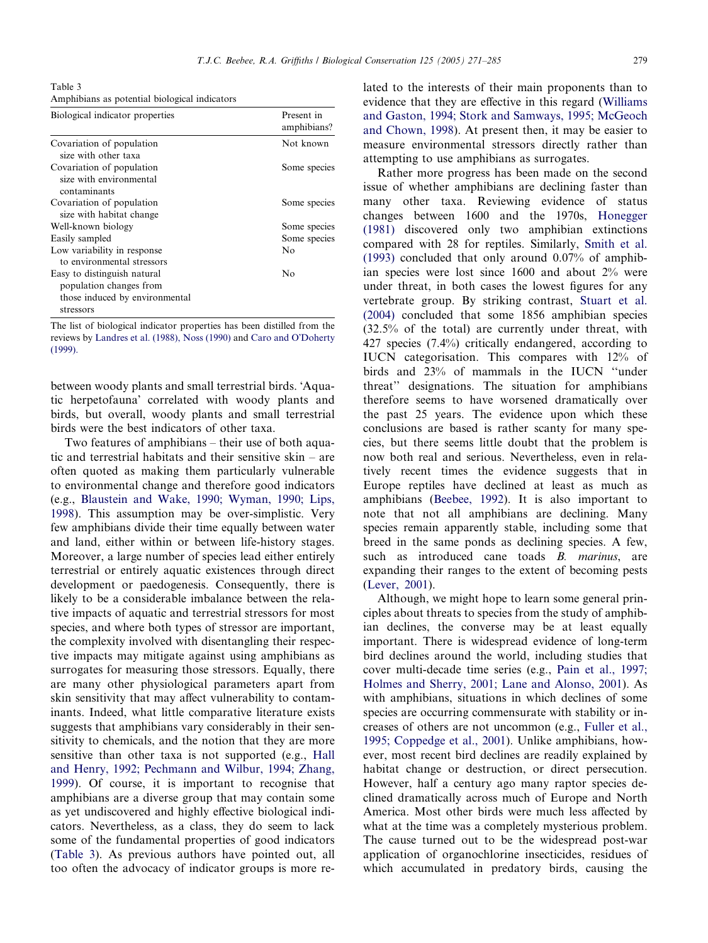<span id="page-8-0"></span>Table 3 Amphibians as potential biological indicators

| Biological indicator properties | Present in<br>amphibians? |
|---------------------------------|---------------------------|
| Covariation of population       | Not known                 |
| size with other taxa            |                           |
| Covariation of population       | Some species              |
| size with environmental         |                           |
| contaminants                    |                           |
| Covariation of population       | Some species              |
| size with habitat change        |                           |
| Well-known biology              | Some species              |
| Easily sampled                  | Some species              |
| Low variability in response     | Nο                        |
| to environmental stressors      |                           |
| Easy to distinguish natural     | No                        |
| population changes from         |                           |
| those induced by environmental  |                           |
| stressors                       |                           |

The list of biological indicator properties has been distilled from the reviews by [Landres et al. \(1988\), Noss \(1990\)](#page-12-0) and [Caro and O](#page-11-0)'Doherty [\(1999\).](#page-11-0)

between woody plants and small terrestrial birds. 'Aquatic herpetofauna' correlated with woody plants and birds, but overall, woody plants and small terrestrial birds were the best indicators of other taxa.

Two features of amphibians – their use of both aquatic and terrestrial habitats and their sensitive skin – are often quoted as making them particularly vulnerable to environmental change and therefore good indicators (e.g., [Blaustein and Wake, 1990; Wyman, 1990; Lips,](#page-11-0) [1998](#page-11-0)). This assumption may be over-simplistic. Very few amphibians divide their time equally between water and land, either within or between life-history stages. Moreover, a large number of species lead either entirely terrestrial or entirely aquatic existences through direct development or paedogenesis. Consequently, there is likely to be a considerable imbalance between the relative impacts of aquatic and terrestrial stressors for most species, and where both types of stressor are important, the complexity involved with disentangling their respective impacts may mitigate against using amphibians as surrogates for measuring those stressors. Equally, there are many other physiological parameters apart from skin sensitivity that may affect vulnerability to contaminants. Indeed, what little comparative literature exists suggests that amphibians vary considerably in their sensitivity to chemicals, and the notion that they are more sensitive than other taxa is not supported (e.g., [Hall](#page-12-0) [and Henry, 1992; Pechmann and Wilbur, 1994; Zhang,](#page-12-0) [1999](#page-12-0)). Of course, it is important to recognise that amphibians are a diverse group that may contain some as yet undiscovered and highly effective biological indicators. Nevertheless, as a class, they do seem to lack some of the fundamental properties of good indicators (Table 3). As previous authors have pointed out, all too often the advocacy of indicator groups is more related to the interests of their main proponents than to evidence that they are effective in this regard ([Williams](#page-14-0) [and Gaston, 1994; Stork and Samways, 1995; McGeoch](#page-14-0) [and Chown, 1998\)](#page-14-0). At present then, it may be easier to measure environmental stressors directly rather than attempting to use amphibians as surrogates.

Rather more progress has been made on the second issue of whether amphibians are declining faster than many other taxa. Reviewing evidence of status changes between 1600 and the 1970s, [Honegger](#page-12-0) [\(1981\)](#page-12-0) discovered only two amphibian extinctions compared with 28 for reptiles. Similarly, [Smith et al.](#page-13-0) [\(1993\)](#page-13-0) concluded that only around 0.07% of amphibian species were lost since 1600 and about 2% were under threat, in both cases the lowest figures for any vertebrate group. By striking contrast, [Stuart et al.](#page-14-0) [\(2004\)](#page-14-0) concluded that some 1856 amphibian species (32.5% of the total) are currently under threat, with 427 species (7.4%) critically endangered, according to IUCN categorisation. This compares with 12% of birds and 23% of mammals in the IUCN ''under threat'' designations. The situation for amphibians therefore seems to have worsened dramatically over the past 25 years. The evidence upon which these conclusions are based is rather scanty for many species, but there seems little doubt that the problem is now both real and serious. Nevertheless, even in relatively recent times the evidence suggests that in Europe reptiles have declined at least as much as amphibians ([Beebee, 1992\)](#page-11-0). It is also important to note that not all amphibians are declining. Many species remain apparently stable, including some that breed in the same ponds as declining species. A few, such as introduced cane toads *B*. *marinus*, are expanding their ranges to the extent of becoming pests ([Lever, 2001](#page-12-0)).

Although, we might hope to learn some general principles about threats to species from the study of amphibian declines, the converse may be at least equally important. There is widespread evidence of long-term bird declines around the world, including studies that cover multi-decade time series (e.g., [Pain et al., 1997;](#page-13-0) [Holmes and Sherry, 2001; Lane and Alonso, 2001\)](#page-13-0). As with amphibians, situations in which declines of some species are occurring commensurate with stability or increases of others are not uncommon (e.g., [Fuller et al.,](#page-12-0) [1995; Coppedge et al., 2001\)](#page-12-0). Unlike amphibians, however, most recent bird declines are readily explained by habitat change or destruction, or direct persecution. However, half a century ago many raptor species declined dramatically across much of Europe and North America. Most other birds were much less affected by what at the time was a completely mysterious problem. The cause turned out to be the widespread post-war application of organochlorine insecticides, residues of which accumulated in predatory birds, causing the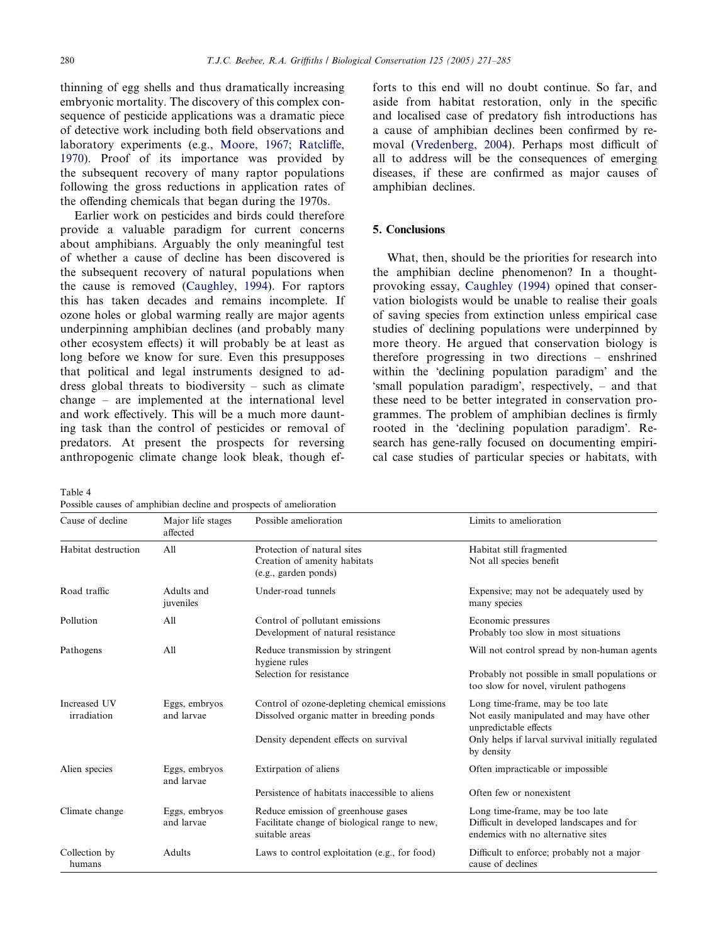<span id="page-9-0"></span>thinning of egg shells and thus dramatically increasing embryonic mortality. The discovery of this complex consequence of pesticide applications was a dramatic piece of detective work including both field observations and laboratory experiments (e.g., [Moore, 1967; Ratcliffe,](#page-13-0) [1970\)](#page-13-0). Proof of its importance was provided by the subsequent recovery of many raptor populations following the gross reductions in application rates of the offending chemicals that began during the 1970s.

Earlier work on pesticides and birds could therefore provide a valuable paradigm for current concerns about amphibians. Arguably the only meaningful test of whether a cause of decline has been discovered is the subsequent recovery of natural populations when the cause is removed ([Caughley, 1994](#page-11-0)). For raptors this has taken decades and remains incomplete. If ozone holes or global warming really are major agents underpinning amphibian declines (and probably many other ecosystem effects) it will probably be at least as long before we know for sure. Even this presupposes that political and legal instruments designed to address global threats to biodiversity – such as climate change – are implemented at the international level and work effectively. This will be a much more daunting task than the control of pesticides or removal of predators. At present the prospects for reversing anthropogenic climate change look bleak, though ef-

Table 4

Possible causes of amphibian decline and prospects of amelioration

forts to this end will no doubt continue. So far, and aside from habitat restoration, only in the specific and localised case of predatory fish introductions has a cause of amphibian declines been confirmed by removal [\(Vredenberg, 2004](#page-14-0)). Perhaps most difficult of all to address will be the consequences of emerging diseases, if these are confirmed as major causes of amphibian declines.

## 5. Conclusions

What, then, should be the priorities for research into the amphibian decline phenomenon? In a thoughtprovoking essay, [Caughley \(1994\)](#page-11-0) opined that conservation biologists would be unable to realise their goals of saving species from extinction unless empirical case studies of declining populations were underpinned by more theory. He argued that conservation biology is therefore progressing in two directions – enshrined within the 'declining population paradigm' and the -small population paradigm, respectively, – and that these need to be better integrated in conservation programmes. The problem of amphibian declines is firmly rooted in the 'declining population paradigm'. Research has gene-rally focused on documenting empirical case studies of particular species or habitats, with

| Cause of decline            | Major life stages<br>affected | Possible amelioration                                                                                                                | Limits to amelioration                                                                                                                                                    |
|-----------------------------|-------------------------------|--------------------------------------------------------------------------------------------------------------------------------------|---------------------------------------------------------------------------------------------------------------------------------------------------------------------------|
| Habitat destruction         | All                           | Protection of natural sites<br>Creation of amenity habitats<br>(e.g., garden ponds)                                                  | Habitat still fragmented<br>Not all species benefit                                                                                                                       |
| Road traffic                | Adults and<br>juveniles       | Under-road tunnels                                                                                                                   | Expensive; may not be adequately used by<br>many species                                                                                                                  |
| Pollution                   | All                           | Control of pollutant emissions<br>Development of natural resistance                                                                  | Economic pressures<br>Probably too slow in most situations                                                                                                                |
| Pathogens                   | All                           | Reduce transmission by stringent<br>hygiene rules<br>Selection for resistance                                                        | Will not control spread by non-human agents<br>Probably not possible in small populations or<br>too slow for novel, virulent pathogens                                    |
| Increased UV<br>irradiation | Eggs, embryos<br>and larvae   | Control of ozone-depleting chemical emissions<br>Dissolved organic matter in breeding ponds<br>Density dependent effects on survival | Long time-frame, may be too late<br>Not easily manipulated and may have other<br>unpredictable effects<br>Only helps if larval survival initially regulated<br>by density |
| Alien species               | Eggs, embryos<br>and larvae   | Extirpation of aliens<br>Persistence of habitats inaccessible to aliens                                                              | Often impracticable or impossible<br>Often few or nonexistent                                                                                                             |
| Climate change              | Eggs, embryos<br>and larvae   | Reduce emission of greenhouse gases<br>Facilitate change of biological range to new,<br>suitable areas                               | Long time-frame, may be too late<br>Difficult in developed landscapes and for<br>endemics with no alternative sites                                                       |
| Collection by<br>humans     | Adults                        | Laws to control exploitation (e.g., for food)                                                                                        | Difficult to enforce; probably not a major<br>cause of declines                                                                                                           |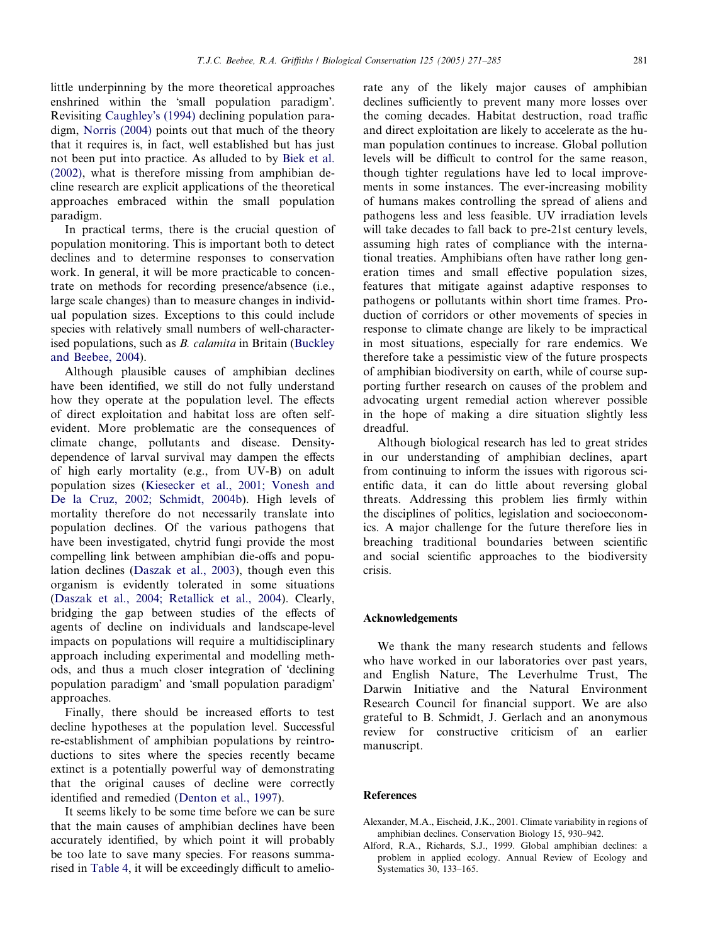<span id="page-10-0"></span>little underpinning by the more theoretical approaches enshrined within the 'small population paradigm'. Revisiting [Caughley](#page-11-0)'s (1994) declining population paradigm, [Norris \(2004\)](#page-13-0) points out that much of the theory that it requires is, in fact, well established but has just not been put into practice. As alluded to by [Biek et al.](#page-11-0) [\(2002\)](#page-11-0), what is therefore missing from amphibian decline research are explicit applications of the theoretical approaches embraced within the small population paradigm.

In practical terms, there is the crucial question of population monitoring. This is important both to detect declines and to determine responses to conservation work. In general, it will be more practicable to concentrate on methods for recording presence/absence (i.e., large scale changes) than to measure changes in individual population sizes. Exceptions to this could include species with relatively small numbers of well-characterised populations, such as B. calamita in Britain ([Buckley](#page-11-0) [and Beebee, 2004](#page-11-0)).

Although plausible causes of amphibian declines have been identified, we still do not fully understand how they operate at the population level. The effects of direct exploitation and habitat loss are often selfevident. More problematic are the consequences of climate change, pollutants and disease. Densitydependence of larval survival may dampen the effects of high early mortality (e.g., from UV-B) on adult population sizes [\(Kiesecker et al., 2001; Vonesh and](#page-12-0) [De la Cruz, 2002; Schmidt, 2004b\)](#page-12-0). High levels of mortality therefore do not necessarily translate into population declines. Of the various pathogens that have been investigated, chytrid fungi provide the most compelling link between amphibian die-offs and population declines [\(Daszak et al., 2003\)](#page-11-0), though even this organism is evidently tolerated in some situations ([Daszak et al., 2004; Retallick et al., 2004\)](#page-11-0). Clearly, bridging the gap between studies of the effects of agents of decline on individuals and landscape-level impacts on populations will require a multidisciplinary approach including experimental and modelling methods, and thus a much closer integration of 'declining population paradigm' and 'small population paradigm' approaches.

Finally, there should be increased efforts to test decline hypotheses at the population level. Successful re-establishment of amphibian populations by reintroductions to sites where the species recently became extinct is a potentially powerful way of demonstrating that the original causes of decline were correctly identified and remedied [\(Denton et al., 1997](#page-11-0)).

It seems likely to be some time before we can be sure that the main causes of amphibian declines have been accurately identified, by which point it will probably be too late to save many species. For reasons summarised in [Table 4,](#page-9-0) it will be exceedingly difficult to ameliorate any of the likely major causes of amphibian declines sufficiently to prevent many more losses over the coming decades. Habitat destruction, road traffic and direct exploitation are likely to accelerate as the human population continues to increase. Global pollution levels will be difficult to control for the same reason, though tighter regulations have led to local improvements in some instances. The ever-increasing mobility of humans makes controlling the spread of aliens and pathogens less and less feasible. UV irradiation levels will take decades to fall back to pre-21st century levels. assuming high rates of compliance with the international treaties. Amphibians often have rather long generation times and small effective population sizes, features that mitigate against adaptive responses to pathogens or pollutants within short time frames. Production of corridors or other movements of species in response to climate change are likely to be impractical in most situations, especially for rare endemics. We therefore take a pessimistic view of the future prospects of amphibian biodiversity on earth, while of course supporting further research on causes of the problem and advocating urgent remedial action wherever possible in the hope of making a dire situation slightly less dreadful.

Although biological research has led to great strides in our understanding of amphibian declines, apart from continuing to inform the issues with rigorous scientific data, it can do little about reversing global threats. Addressing this problem lies firmly within the disciplines of politics, legislation and socioeconomics. A major challenge for the future therefore lies in breaching traditional boundaries between scientific and social scientific approaches to the biodiversity crisis.

#### Acknowledgements

We thank the many research students and fellows who have worked in our laboratories over past years, and English Nature, The Leverhulme Trust, The Darwin Initiative and the Natural Environment Research Council for financial support. We are also grateful to B. Schmidt, J. Gerlach and an anonymous review for constructive criticism of an earlier manuscript.

# References

- Alexander, M.A., Eischeid, J.K., 2001. Climate variability in regions of amphibian declines. Conservation Biology 15, 930–942.
- Alford, R.A., Richards, S.J., 1999. Global amphibian declines: a problem in applied ecology. Annual Review of Ecology and Systematics 30, 133–165.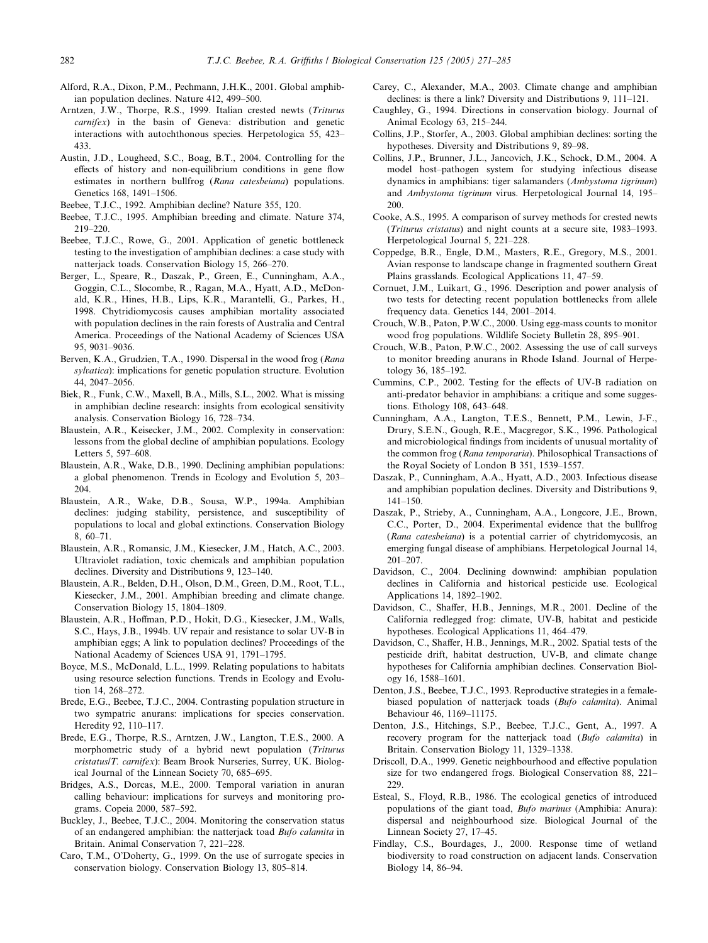- <span id="page-11-0"></span>Alford, R.A., Dixon, P.M., Pechmann, J.H.K., 2001. Global amphibian population declines. Nature 412, 499–500.
- Arntzen, J.W., Thorpe, R.S., 1999. Italian crested newts (Triturus carnifex) in the basin of Geneva: distribution and genetic interactions with autochthonous species. Herpetologica 55, 423– 433.
- Austin, J.D., Lougheed, S.C., Boag, B.T., 2004. Controlling for the effects of history and non-equilibrium conditions in gene flow estimates in northern bullfrog (Rana catesbeiana) populations. Genetics 168, 1491–1506.
- Beebee, T.J.C., 1992. Amphibian decline? Nature 355, 120.
- Beebee, T.J.C., 1995. Amphibian breeding and climate. Nature 374, 219–220.
- Beebee, T.J.C., Rowe, G., 2001. Application of genetic bottleneck testing to the investigation of amphibian declines: a case study with natterjack toads. Conservation Biology 15, 266–270.
- Berger, L., Speare, R., Daszak, P., Green, E., Cunningham, A.A., Goggin, C.L., Slocombe, R., Ragan, M.A., Hyatt, A.D., McDonald, K.R., Hines, H.B., Lips, K.R., Marantelli, G., Parkes, H., 1998. Chytridiomycosis causes amphibian mortality associated with population declines in the rain forests of Australia and Central America. Proceedings of the National Academy of Sciences USA 95, 9031–9036.
- Berven, K.A., Grudzien, T.A., 1990. Dispersal in the wood frog (Rana sylvatica): implications for genetic population structure. Evolution 44, 2047–2056.
- Biek, R., Funk, C.W., Maxell, B.A., Mills, S.L., 2002. What is missing in amphibian decline research: insights from ecological sensitivity analysis. Conservation Biology 16, 728–734.
- Blaustein, A.R., Keisecker, J.M., 2002. Complexity in conservation: lessons from the global decline of amphibian populations. Ecology Letters 5, 597–608.
- Blaustein, A.R., Wake, D.B., 1990. Declining amphibian populations: a global phenomenon. Trends in Ecology and Evolution 5, 203– 204.
- Blaustein, A.R., Wake, D.B., Sousa, W.P., 1994a. Amphibian declines: judging stability, persistence, and susceptibility of populations to local and global extinctions. Conservation Biology 8, 60–71.
- Blaustein, A.R., Romansic, J.M., Kiesecker, J.M., Hatch, A.C., 2003. Ultraviolet radiation, toxic chemicals and amphibian population declines. Diversity and Distributions 9, 123–140.
- Blaustein, A.R., Belden, D.H., Olson, D.M., Green, D.M., Root, T.L., Kiesecker, J.M., 2001. Amphibian breeding and climate change. Conservation Biology 15, 1804–1809.
- Blaustein, A.R., Hoffman, P.D., Hokit, D.G., Kiesecker, J.M., Walls, S.C., Hays, J.B., 1994b. UV repair and resistance to solar UV-B in amphibian eggs; A link to population declines? Proceedings of the National Academy of Sciences USA 91, 1791–1795.
- Boyce, M.S., McDonald, L.L., 1999. Relating populations to habitats using resource selection functions. Trends in Ecology and Evolution 14, 268–272.
- Brede, E.G., Beebee, T.J.C., 2004. Contrasting population structure in two sympatric anurans: implications for species conservation. Heredity 92, 110–117.
- Brede, E.G., Thorpe, R.S., Arntzen, J.W., Langton, T.E.S., 2000. A morphometric study of a hybrid newt population (Triturus cristatus/T. carnifex): Beam Brook Nurseries, Surrey, UK. Biological Journal of the Linnean Society 70, 685–695.
- Bridges, A.S., Dorcas, M.E., 2000. Temporal variation in anuran calling behaviour: implications for surveys and monitoring programs. Copeia 2000, 587–592.
- Buckley, J., Beebee, T.J.C., 2004. Monitoring the conservation status of an endangered amphibian: the natterjack toad Bufo calamita in Britain. Animal Conservation 7, 221–228.
- Caro, T.M., O'Doherty, G., 1999. On the use of surrogate species in conservation biology. Conservation Biology 13, 805–814.
- Carey, C., Alexander, M.A., 2003. Climate change and amphibian declines: is there a link? Diversity and Distributions 9, 111–121.
- Caughley, G., 1994. Directions in conservation biology. Journal of Animal Ecology 63, 215–244.
- Collins, J.P., Storfer, A., 2003. Global amphibian declines: sorting the hypotheses. Diversity and Distributions 9, 89–98.
- Collins, J.P., Brunner, J.L., Jancovich, J.K., Schock, D.M., 2004. A model host–pathogen system for studying infectious disease dynamics in amphibians: tiger salamanders (Ambystoma tigrinum) and Ambystoma tigrinum virus. Herpetological Journal 14, 195– 200.
- Cooke, A.S., 1995. A comparison of survey methods for crested newts (Triturus cristatus) and night counts at a secure site, 1983–1993. Herpetological Journal 5, 221–228.
- Coppedge, B.R., Engle, D.M., Masters, R.E., Gregory, M.S., 2001. Avian response to landscape change in fragmented southern Great Plains grasslands. Ecological Applications 11, 47–59.
- Cornuet, J.M., Luikart, G., 1996. Description and power analysis of two tests for detecting recent population bottlenecks from allele frequency data. Genetics 144, 2001–2014.
- Crouch, W.B., Paton, P.W.C., 2000. Using egg-mass counts to monitor wood frog populations. Wildlife Society Bulletin 28, 895–901.
- Crouch, W.B., Paton, P.W.C., 2002. Assessing the use of call surveys to monitor breeding anurans in Rhode Island. Journal of Herpetology 36, 185–192.
- Cummins, C.P., 2002. Testing for the effects of UV-B radiation on anti-predator behavior in amphibians: a critique and some suggestions. Ethology 108, 643–648.
- Cunningham, A.A., Langton, T.E.S., Bennett, P.M., Lewin, J-F., Drury, S.E.N., Gough, R.E., Macgregor, S.K., 1996. Pathological and microbiological findings from incidents of unusual mortality of the common frog (Rana temporaria). Philosophical Transactions of the Royal Society of London B 351, 1539–1557.
- Daszak, P., Cunningham, A.A., Hyatt, A.D., 2003. Infectious disease and amphibian population declines. Diversity and Distributions 9, 141–150.
- Daszak, P., Strieby, A., Cunningham, A.A., Longcore, J.E., Brown, C.C., Porter, D., 2004. Experimental evidence that the bullfrog (Rana catesbeiana) is a potential carrier of chytridomycosis, an emerging fungal disease of amphibians. Herpetological Journal 14, 201–207.
- Davidson, C., 2004. Declining downwind: amphibian population declines in California and historical pesticide use. Ecological Applications 14, 1892–1902.
- Davidson, C., Shaffer, H.B., Jennings, M.R., 2001. Decline of the California redlegged frog: climate, UV-B, habitat and pesticide hypotheses. Ecological Applications 11, 464–479.
- Davidson, C., Shaffer, H.B., Jennings, M.R., 2002. Spatial tests of the pesticide drift, habitat destruction, UV-B, and climate change hypotheses for California amphibian declines. Conservation Biology 16, 1588–1601.
- Denton, J.S., Beebee, T.J.C., 1993. Reproductive strategies in a femalebiased population of natterjack toads (Bufo calamita). Animal Behaviour 46, 1169–11175.
- Denton, J.S., Hitchings, S.P., Beebee, T.J.C., Gent, A., 1997. A recovery program for the natterjack toad (Bufo calamita) in Britain. Conservation Biology 11, 1329–1338.
- Driscoll, D.A., 1999. Genetic neighbourhood and effective population size for two endangered frogs. Biological Conservation 88, 221– 229.
- Esteal, S., Floyd, R.B., 1986. The ecological genetics of introduced populations of the giant toad, Bufo marinus (Amphibia: Anura): dispersal and neighbourhood size. Biological Journal of the Linnean Society 27, 17–45.
- Findlay, C.S., Bourdages, J., 2000. Response time of wetland biodiversity to road construction on adjacent lands. Conservation Biology 14, 86–94.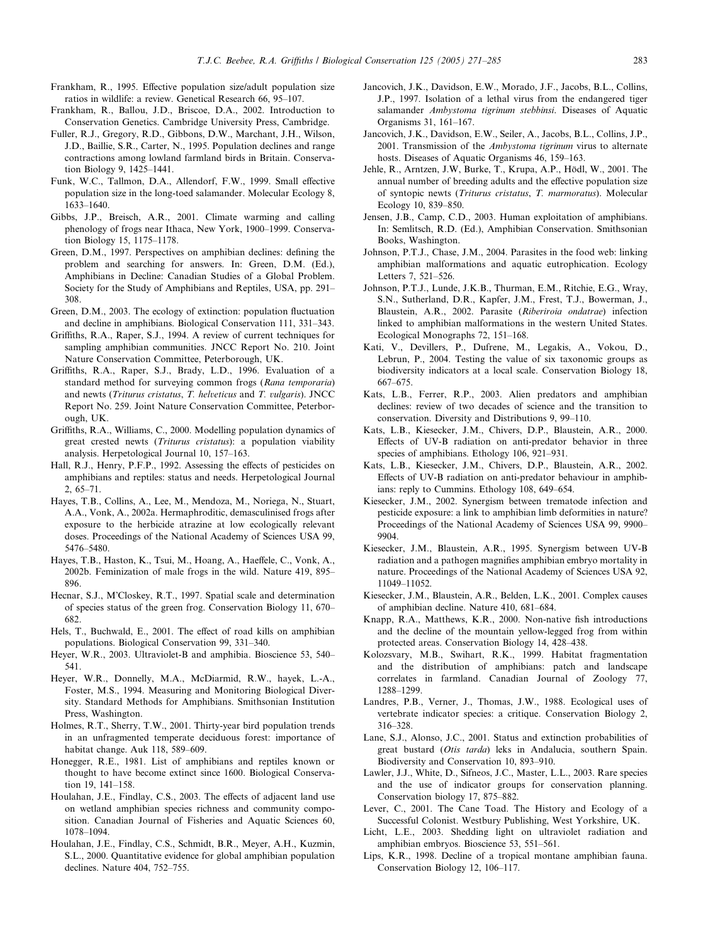- <span id="page-12-0"></span>Frankham, R., 1995. Effective population size/adult population size ratios in wildlife: a review. Genetical Research 66, 95–107.
- Frankham, R., Ballou, J.D., Briscoe, D.A., 2002. Introduction to Conservation Genetics. Cambridge University Press, Cambridge.
- Fuller, R.J., Gregory, R.D., Gibbons, D.W., Marchant, J.H., Wilson, J.D., Baillie, S.R., Carter, N., 1995. Population declines and range contractions among lowland farmland birds in Britain. Conservation Biology 9, 1425–1441.
- Funk, W.C., Tallmon, D.A., Allendorf, F.W., 1999. Small effective population size in the long-toed salamander. Molecular Ecology 8, 1633–1640.
- Gibbs, J.P., Breisch, A.R., 2001. Climate warming and calling phenology of frogs near Ithaca, New York, 1900–1999. Conservation Biology 15, 1175–1178.
- Green, D.M., 1997. Perspectives on amphibian declines: defining the problem and searching for answers. In: Green, D.M. (Ed.), Amphibians in Decline: Canadian Studies of a Global Problem. Society for the Study of Amphibians and Reptiles, USA, pp. 291– 308.
- Green, D.M., 2003. The ecology of extinction: population fluctuation and decline in amphibians. Biological Conservation 111, 331–343.
- Griffiths, R.A., Raper, S.J., 1994. A review of current techniques for sampling amphibian communities. JNCC Report No. 210. Joint Nature Conservation Committee, Peterborough, UK.
- Griffiths, R.A., Raper, S.J., Brady, L.D., 1996. Evaluation of a standard method for surveying common frogs (Rana temporaria) and newts (Triturus cristatus, T. helveticus and T. vulgaris). JNCC Report No. 259. Joint Nature Conservation Committee, Peterborough, UK.
- Griffiths, R.A., Williams, C., 2000. Modelling population dynamics of great crested newts (Triturus cristatus): a population viability analysis. Herpetological Journal 10, 157–163.
- Hall, R.J., Henry, P.F.P., 1992. Assessing the effects of pesticides on amphibians and reptiles: status and needs. Herpetological Journal 2, 65–71.
- Hayes, T.B., Collins, A., Lee, M., Mendoza, M., Noriega, N., Stuart, A.A., Vonk, A., 2002a. Hermaphroditic, demasculinised frogs after exposure to the herbicide atrazine at low ecologically relevant doses. Proceedings of the National Academy of Sciences USA 99, 5476–5480.
- Hayes, T.B., Haston, K., Tsui, M., Hoang, A., Haeffele, C., Vonk, A., 2002b. Feminization of male frogs in the wild. Nature 419, 895– 896.
- Hecnar, S.J., MCloskey, R.T., 1997. Spatial scale and determination of species status of the green frog. Conservation Biology 11, 670– 682.
- Hels, T., Buchwald, E., 2001. The effect of road kills on amphibian populations. Biological Conservation 99, 331–340.
- Heyer, W.R., 2003. Ultraviolet-B and amphibia. Bioscience 53, 540– 541.
- Heyer, W.R., Donnelly, M.A., McDiarmid, R.W., hayek, L.-A., Foster, M.S., 1994. Measuring and Monitoring Biological Diversity. Standard Methods for Amphibians. Smithsonian Institution Press, Washington.
- Holmes, R.T., Sherry, T.W., 2001. Thirty-year bird population trends in an unfragmented temperate deciduous forest: importance of habitat change. Auk 118, 589–609.
- Honegger, R.E., 1981. List of amphibians and reptiles known or thought to have become extinct since 1600. Biological Conservation 19, 141–158.
- Houlahan, J.E., Findlay, C.S., 2003. The effects of adjacent land use on wetland amphibian species richness and community composition. Canadian Journal of Fisheries and Aquatic Sciences 60, 1078–1094.
- Houlahan, J.E., Findlay, C.S., Schmidt, B.R., Meyer, A.H., Kuzmin, S.L., 2000. Quantitative evidence for global amphibian population declines. Nature 404, 752–755.
- Jancovich, J.K., Davidson, E.W., Morado, J.F., Jacobs, B.L., Collins, J.P., 1997. Isolation of a lethal virus from the endangered tiger salamander Ambystoma tigrinum stebbinsi. Diseases of Aquatic Organisms 31, 161–167.
- Jancovich, J.K., Davidson, E.W., Seiler, A., Jacobs, B.L., Collins, J.P., 2001. Transmission of the Ambystoma tigrinum virus to alternate hosts. Diseases of Aquatic Organisms 46, 159–163.
- Jehle, R., Arntzen, J.W, Burke, T., Krupa, A.P., Hödl, W., 2001. The annual number of breeding adults and the effective population size of syntopic newts (Triturus cristatus, T. marmoratus). Molecular Ecology 10, 839–850.
- Jensen, J.B., Camp, C.D., 2003. Human exploitation of amphibians. In: Semlitsch, R.D. (Ed.), Amphibian Conservation. Smithsonian Books, Washington.
- Johnson, P.T.J., Chase, J.M., 2004. Parasites in the food web: linking amphibian malformations and aquatic eutrophication. Ecology Letters 7, 521–526.
- Johnson, P.T.J., Lunde, J.K.B., Thurman, E.M., Ritchie, E.G., Wray, S.N., Sutherland, D.R., Kapfer, J.M., Frest, T.J., Bowerman, J., Blaustein, A.R., 2002. Parasite (Riberiroia ondatrae) infection linked to amphibian malformations in the western United States. Ecological Monographs 72, 151–168.
- Kati, V., Devillers, P., Dufrene, M., Legakis, A., Vokou, D., Lebrun, P., 2004. Testing the value of six taxonomic groups as biodiversity indicators at a local scale. Conservation Biology 18, 667–675.
- Kats, L.B., Ferrer, R.P., 2003. Alien predators and amphibian declines: review of two decades of science and the transition to conservation. Diversity and Distributions 9, 99–110.
- Kats, L.B., Kiesecker, J.M., Chivers, D.P., Blaustein, A.R., 2000. Effects of UV-B radiation on anti-predator behavior in three species of amphibians. Ethology 106, 921–931.
- Kats, L.B., Kiesecker, J.M., Chivers, D.P., Blaustein, A.R., 2002. Effects of UV-B radiation on anti-predator behaviour in amphibians: reply to Cummins. Ethology 108, 649–654.
- Kiesecker, J.M., 2002. Synergism between trematode infection and pesticide exposure: a link to amphibian limb deformities in nature? Proceedings of the National Academy of Sciences USA 99, 9900– 9904.
- Kiesecker, J.M., Blaustein, A.R., 1995. Synergism between UV-B radiation and a pathogen magnifies amphibian embryo mortality in nature. Proceedings of the National Academy of Sciences USA 92, 11049–11052.
- Kiesecker, J.M., Blaustein, A.R., Belden, L.K., 2001. Complex causes of amphibian decline. Nature 410, 681–684.
- Knapp, R.A., Matthews, K.R., 2000. Non-native fish introductions and the decline of the mountain yellow-legged frog from within protected areas. Conservation Biology 14, 428–438.
- Kolozsvary, M.B., Swihart, R.K., 1999. Habitat fragmentation and the distribution of amphibians: patch and landscape correlates in farmland. Canadian Journal of Zoology 77, 1288–1299.
- Landres, P.B., Verner, J., Thomas, J.W., 1988. Ecological uses of vertebrate indicator species: a critique. Conservation Biology 2, 316–328.
- Lane, S.J., Alonso, J.C., 2001. Status and extinction probabilities of great bustard (Otis tarda) leks in Andalucia, southern Spain. Biodiversity and Conservation 10, 893–910.
- Lawler, J.J., White, D., Sifneos, J.C., Master, L.L., 2003. Rare species and the use of indicator groups for conservation planning. Conservation biology 17, 875–882.
- Lever, C., 2001. The Cane Toad. The History and Ecology of a Successful Colonist. Westbury Publishing, West Yorkshire, UK.
- Licht, L.E., 2003. Shedding light on ultraviolet radiation and amphibian embryos. Bioscience 53, 551–561.
- Lips, K.R., 1998. Decline of a tropical montane amphibian fauna. Conservation Biology 12, 106–117.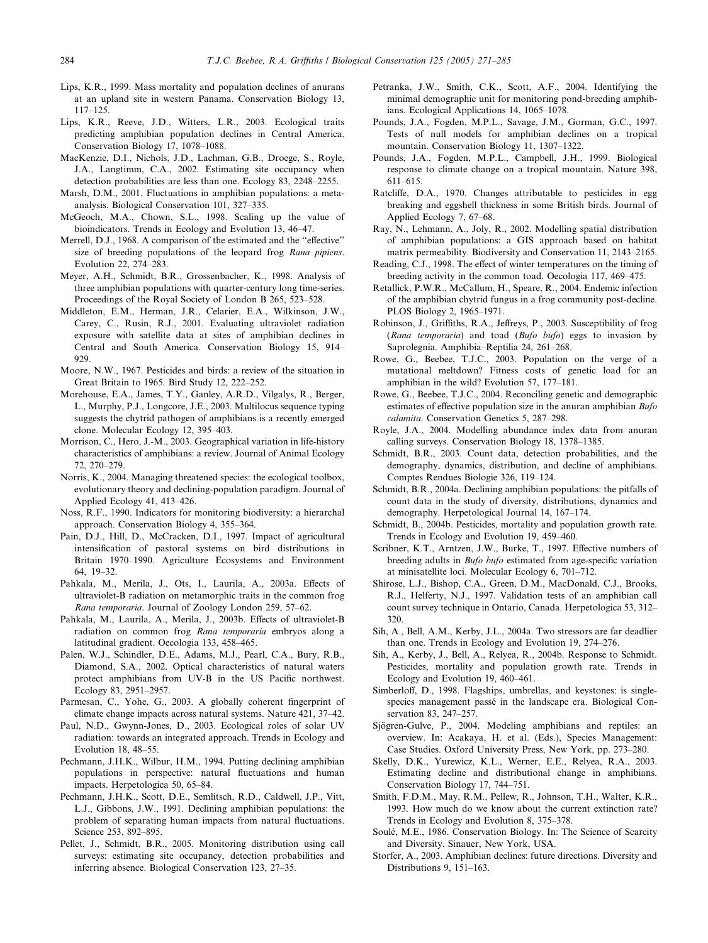- <span id="page-13-0"></span>Lips, K.R., 1999. Mass mortality and population declines of anurans at an upland site in western Panama. Conservation Biology 13, 117–125.
- Lips, K.R., Reeve, J.D., Witters, L.R., 2003. Ecological traits predicting amphibian population declines in Central America. Conservation Biology 17, 1078–1088.
- MacKenzie, D.I., Nichols, J.D., Lachman, G.B., Droege, S., Royle, J.A., Langtimm, C.A., 2002. Estimating site occupancy when detection probabilities are less than one. Ecology 83, 2248–2255.
- Marsh, D.M., 2001. Fluctuations in amphibian populations: a metaanalysis. Biological Conservation 101, 327–335.
- McGeoch, M.A., Chown, S.L., 1998. Scaling up the value of bioindicators. Trends in Ecology and Evolution 13, 46–47.
- Merrell, D.J., 1968. A comparison of the estimated and the ''effective'' size of breeding populations of the leopard frog Rana pipiens. Evolution 22, 274–283.
- Meyer, A.H., Schmidt, B.R., Grossenbacher, K., 1998. Analysis of three amphibian populations with quarter-century long time-series. Proceedings of the Royal Society of London B 265, 523–528.
- Middleton, E.M., Herman, J.R., Celarier, E.A., Wilkinson, J.W., Carey, C., Rusin, R.J., 2001. Evaluating ultraviolet radiation exposure with satellite data at sites of amphibian declines in Central and South America. Conservation Biology 15, 914– 929.
- Moore, N.W., 1967. Pesticides and birds: a review of the situation in Great Britain to 1965. Bird Study 12, 222–252.
- Morehouse, E.A., James, T.Y., Ganley, A.R.D., Vilgalys, R., Berger, L., Murphy, P.J., Longcore, J.E., 2003. Multilocus sequence typing suggests the chytrid pathogen of amphibians is a recently emerged clone. Molecular Ecology 12, 395–403.
- Morrison, C., Hero, J.-M., 2003. Geographical variation in life-history characteristics of amphibians: a review. Journal of Animal Ecology 72, 270–279.
- Norris, K., 2004. Managing threatened species: the ecological toolbox, evolutionary theory and declining-population paradigm. Journal of Applied Ecology 41, 413–426.
- Noss, R.F., 1990. Indicators for monitoring biodiversity: a hierarchal approach. Conservation Biology 4, 355–364.
- Pain, D.J., Hill, D., McCracken, D.I., 1997. Impact of agricultural intensification of pastoral systems on bird distributions in Britain 1970–1990. Agriculture Ecosystems and Environment 64, 19–32.
- Pahkala, M., Merila, J., Ots, I., Laurila, A., 2003a. Effects of ultraviolet-B radiation on metamorphic traits in the common frog Rana temporaria. Journal of Zoology London 259, 57–62.
- Pahkala, M., Laurila, A., Merila, J., 2003b. Effects of ultraviolet-B radiation on common frog Rana temporaria embryos along a latitudinal gradient. Oecologia 133, 458–465.
- Palen, W.J., Schindler, D.E., Adams, M.J., Pearl, C.A., Bury, R.B., Diamond, S.A., 2002. Optical characteristics of natural waters protect amphibians from UV-B in the US Pacific northwest. Ecology 83, 2951–2957.
- Parmesan, C., Yohe, G., 2003. A globally coherent fingerprint of climate change impacts across natural systems. Nature 421, 37–42.
- Paul, N.D., Gwynn-Jones, D., 2003. Ecological roles of solar UV radiation: towards an integrated approach. Trends in Ecology and Evolution 18, 48–55.
- Pechmann, J.H.K., Wilbur, H.M., 1994. Putting declining amphibian populations in perspective: natural fluctuations and human impacts. Herpetologica 50, 65–84.
- Pechmann, J.H.K., Scott, D.E., Semlitsch, R.D., Caldwell, J.P., Vitt, L.J., Gibbons, J.W., 1991. Declining amphibian populations: the problem of separating human impacts from natural fluctuations. Science 253, 892–895.
- Pellet, J., Schmidt, B.R., 2005. Monitoring distribution using call surveys: estimating site occupancy, detection probabilities and inferring absence. Biological Conservation 123, 27–35.
- Petranka, J.W., Smith, C.K., Scott, A.F., 2004. Identifying the minimal demographic unit for monitoring pond-breeding amphibians. Ecological Applications 14, 1065–1078.
- Pounds, J.A., Fogden, M.P.L., Savage, J.M., Gorman, G.C., 1997. Tests of null models for amphibian declines on a tropical mountain. Conservation Biology 11, 1307–1322.
- Pounds, J.A., Fogden, M.P.L., Campbell, J.H., 1999. Biological response to climate change on a tropical mountain. Nature 398, 611–615.
- Ratcliffe, D.A., 1970. Changes attributable to pesticides in egg breaking and eggshell thickness in some British birds. Journal of Applied Ecology 7, 67–68.
- Ray, N., Lehmann, A., Joly, R., 2002. Modelling spatial distribution of amphibian populations: a GIS approach based on habitat matrix permeability. Biodiversity and Conservation 11, 2143–2165.
- Reading, C.J., 1998. The effect of winter temperatures on the timing of breeding activity in the common toad. Oecologia 117, 469–475.
- Retallick, P.W.R., McCallum, H., Speare, R., 2004. Endemic infection of the amphibian chytrid fungus in a frog community post-decline. PLOS Biology 2, 1965–1971.
- Robinson, J., Griffiths, R.A., Jeffreys, P., 2003. Susceptibility of frog (Rana temporaria) and toad (Bufo bufo) eggs to invasion by Saprolegnia. Amphibia–Reptilia 24, 261–268.
- Rowe, G., Beebee, T.J.C., 2003. Population on the verge of a mutational meltdown? Fitness costs of genetic load for an amphibian in the wild? Evolution 57, 177–181.
- Rowe, G., Beebee, T.J.C., 2004. Reconciling genetic and demographic estimates of effective population size in the anuran amphibian  $Bufo$ calamita. Conservation Genetics 5, 287–298.
- Royle, J.A., 2004. Modelling abundance index data from anuran calling surveys. Conservation Biology 18, 1378–1385.
- Schmidt, B.R., 2003. Count data, detection probabilities, and the demography, dynamics, distribution, and decline of amphibians. Comptes Rendues Biologie 326, 119–124.
- Schmidt, B.R., 2004a. Declining amphibian populations: the pitfalls of count data in the study of diversity, distributions, dynamics and demography. Herpetological Journal 14, 167–174.
- Schmidt, B., 2004b. Pesticides, mortality and population growth rate. Trends in Ecology and Evolution 19, 459–460.
- Scribner, K.T., Arntzen, J.W., Burke, T., 1997. Effective numbers of breeding adults in Bufo bufo estimated from age-specific variation at minisatellite loci. Molecular Ecology 6, 701–712.
- Shirose, L.J., Bishop, C.A., Green, D.M., MacDonald, C.J., Brooks, R.J., Helferty, N.J., 1997. Validation tests of an amphibian call count survey technique in Ontario, Canada. Herpetologica 53, 312– 320.
- Sih, A., Bell, A.M., Kerby, J.L., 2004a. Two stressors are far deadlier than one. Trends in Ecology and Evolution 19, 274–276.
- Sih, A., Kerby, J., Bell, A., Relyea, R., 2004b. Response to Schmidt. Pesticides, mortality and population growth rate. Trends in Ecology and Evolution 19, 460–461.
- Simberloff, D., 1998. Flagships, umbrellas, and keystones: is singlespecies management passé in the landscape era. Biological Conservation 83, 247–257.
- Sjögren-Gulve, P., 2004. Modeling amphibians and reptiles: an overview. In: Acakaya, H. et al. (Eds.), Species Management: Case Studies. Oxford University Press, New York, pp. 273–280.
- Skelly, D.K., Yurewicz, K.L., Werner, E.E., Relyea, R.A., 2003. Estimating decline and distributional change in amphibians. Conservation Biology 17, 744–751.
- Smith, F.D.M., May, R.M., Pellew, R., Johnson, T.H., Walter, K.R., 1993. How much do we know about the current extinction rate? Trends in Ecology and Evolution 8, 375–378.
- Soulé, M.E., 1986. Conservation Biology. In: The Science of Scarcity and Diversity. Sinauer, New York, USA.
- Storfer, A., 2003. Amphibian declines: future directions. Diversity and Distributions 9, 151–163.